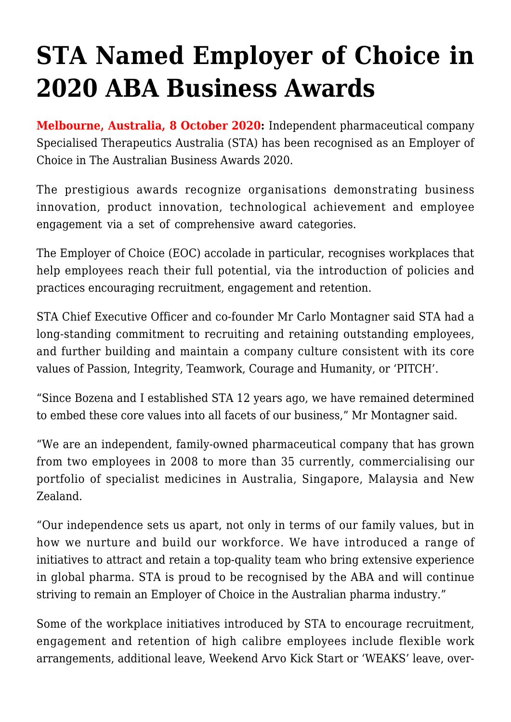## **[STA Named Employer of Choice in](https://stabiopharma.com/sta-named-employer-of-choice-in-2020-aba-business-awards-2/) [2020 ABA Business Awards](https://stabiopharma.com/sta-named-employer-of-choice-in-2020-aba-business-awards-2/)**

**Melbourne, Australia, 8 October 2020:** Independent pharmaceutical company Specialised Therapeutics Australia (STA) has been recognised as an Employer of Choice in The Australian Business Awards 2020.

The prestigious awards recognize organisations demonstrating business innovation, product innovation, technological achievement and employee engagement via a set of comprehensive award categories.

The Employer of Choice (EOC) accolade in particular, recognises workplaces that help employees reach their full potential, via the introduction of policies and practices encouraging recruitment, engagement and retention.

STA Chief Executive Officer and co-founder Mr Carlo Montagner said STA had a long-standing commitment to recruiting and retaining outstanding employees, and further building and maintain a company culture consistent with its core values of Passion, Integrity, Teamwork, Courage and Humanity, or 'PITCH'.

"Since Bozena and I established STA 12 years ago, we have remained determined to embed these core values into all facets of our business," Mr Montagner said.

"We are an independent, family-owned pharmaceutical company that has grown from two employees in 2008 to more than 35 currently, commercialising our portfolio of specialist medicines in Australia, Singapore, Malaysia and New Zealand.

"Our independence sets us apart, not only in terms of our family values, but in how we nurture and build our workforce. We have introduced a range of initiatives to attract and retain a top-quality team who bring extensive experience in global pharma. STA is proud to be recognised by the ABA and will continue striving to remain an Employer of Choice in the Australian pharma industry."

Some of the workplace initiatives introduced by STA to encourage recruitment, engagement and retention of high calibre employees include flexible work arrangements, additional leave, Weekend Arvo Kick Start or 'WEAKS' leave, over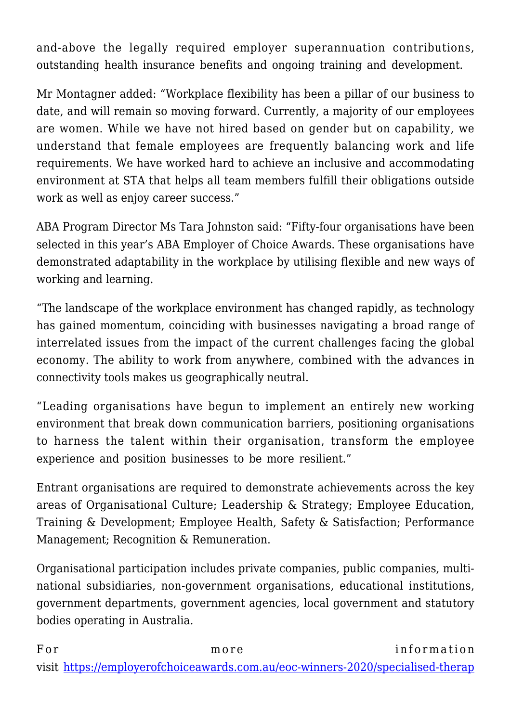and-above the legally required employer superannuation contributions, outstanding health insurance benefits and ongoing training and development.

Mr Montagner added: "Workplace flexibility has been a pillar of our business to date, and will remain so moving forward. Currently, a majority of our employees are women. While we have not hired based on gender but on capability, we understand that female employees are frequently balancing work and life requirements. We have worked hard to achieve an inclusive and accommodating environment at STA that helps all team members fulfill their obligations outside work as well as enjoy career success."

ABA Program Director Ms Tara Johnston said: "Fifty-four organisations have been selected in this year's ABA Employer of Choice Awards. These organisations have demonstrated adaptability in the workplace by utilising flexible and new ways of working and learning.

"The landscape of the workplace environment has changed rapidly, as technology has gained momentum, coinciding with businesses navigating a broad range of interrelated issues from the impact of the current challenges facing the global economy. The ability to work from anywhere, combined with the advances in connectivity tools makes us geographically neutral.

"Leading organisations have begun to implement an entirely new working environment that break down communication barriers, positioning organisations to harness the talent within their organisation, transform the employee experience and position businesses to be more resilient."

Entrant organisations are required to demonstrate achievements across the key areas of Organisational Culture; Leadership & Strategy; Employee Education, Training & Development; Employee Health, Safety & Satisfaction; Performance Management; Recognition & Remuneration.

Organisational participation includes private companies, public companies, multinational subsidiaries, non-government organisations, educational institutions, government departments, government agencies, local government and statutory bodies operating in Australia.